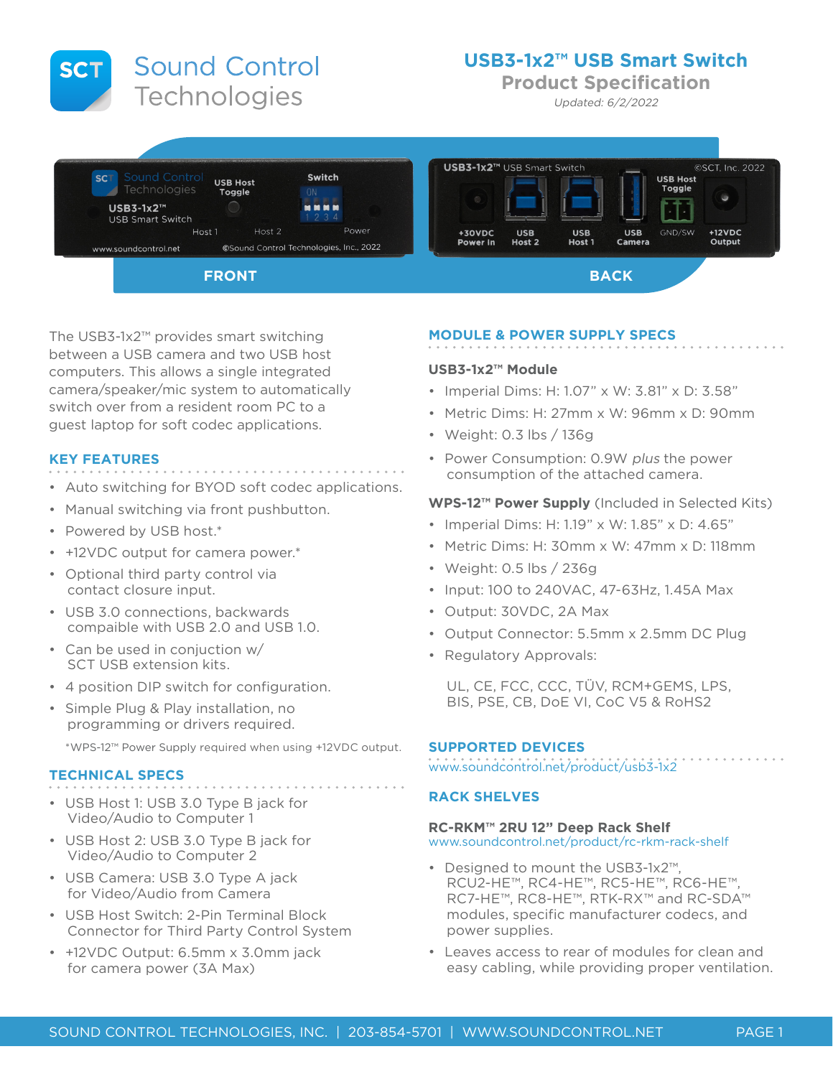**Sound Control SCT** Technologies

# **USB3-1x2™ USB Smart Switch**

**Product Specification**

Updated: 6/2/2022



The USB3-1x2™ provides smart switching between a USB camera and two USB host computers. This allows a single integrated camera/speaker/mic system to automatically switch over from a resident room PC to a guest laptop for soft codec applications.

# **KEY FEATURES**

- Auto switching for BYOD soft codec applications.
- Manual switching via front pushbutton.
- Powered by USB host.\*
- +12VDC output for camera power.\*
- Optional third party control via contact closure input.
- USB 3.0 connections, backwards compaible with USB 2.0 and USB 1.0.
- Can be used in conjuction w/ SCT USB extension kits.
- 4 position DIP switch for configuration.
- Simple Plug & Play installation, no programming or drivers required.

\*WPS-12™ Power Supply required when using +12VDC output.

# **TECHNICAL SPECS**

- USB Host 1: USB 3.0 Type B jack for Video/Audio to Computer 1
- USB Host 2: USB 3.0 Type B jack for Video/Audio to Computer 2
- USB Camera: USB 3.0 Type A jack for Video/Audio from Camera
- USB Host Switch: 2-Pin Terminal Block Connector for Third Party Control System
- +12VDC Output: 6.5mm x 3.0mm jack for camera power (3A Max)

#### **MODULE & POWER SUPPLY SPECS**

#### **USB3-1x2™ Module**

- Imperial Dims: H: 1.07" x W: 3.81" x D: 3.58"
- Metric Dims: H: 27mm x W: 96mm x D: 90mm
- Weight: 0.3 lbs / 136g
- Power Consumption: 0.9W plus the power consumption of the attached camera.

## **WPS-12™ Power Supply** (Included in Selected Kits)

- Imperial Dims: H: 1.19" x W: 1.85" x D: 4.65"
- Metric Dims: H: 30mm x W: 47mm x D: 118mm
- Weight: 0.5 lbs / 236g
- Input: 100 to 240VAC, 47-63Hz, 1.45A Max
- Output: 30VDC, 2A Max
- Output Connector: 5.5mm x 2.5mm DC Plug
- Regulatory Approvals:

UL, CE, FCC, CCC, TÜV, RCM+GEMS, LPS, BIS, PSE, CB, DoE VI, CoC V5 & RoHS2

#### **SUPPORTED DEVICES**

www.soundcontrol.net/product/usb3-1x2

## **RACK SHELVES**

#### **RC-RKM™ 2RU 12" Deep Rack Shelf**

www.soundcontrol.net/product/rc-rkm-rack-shelf

- Designed to mount the USB3-1x2™, RCU2-HE™, RC4-HE™, RC5-HE™, RC6-HE™, RC7-HE™, RC8-HE™, RTK-RX™ and RC-SDA™ modules, specific manufacturer codecs, and power supplies.
- Leaves access to rear of modules for clean and easy cabling, while providing proper ventilation.